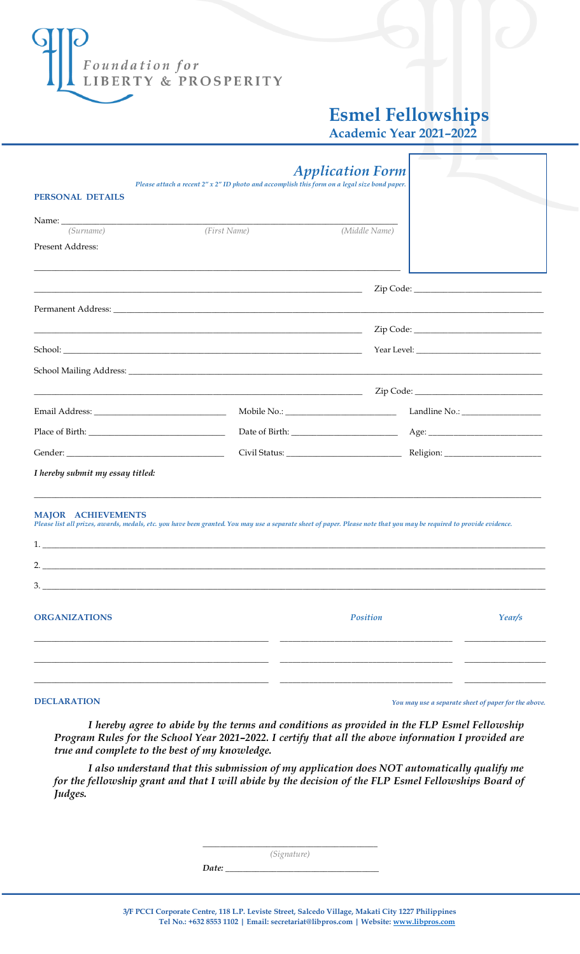

## **Esmel Fellowships**

**Academic Year 2021–2022**

|                                                                                                                                                                                                                                | Please attach a recent 2" x 2" ID photo and accomplish this form on a legal size bond paper.                                                                         | <b>Application Form</b> |        |  |
|--------------------------------------------------------------------------------------------------------------------------------------------------------------------------------------------------------------------------------|----------------------------------------------------------------------------------------------------------------------------------------------------------------------|-------------------------|--------|--|
| <b>PERSONAL DETAILS</b>                                                                                                                                                                                                        |                                                                                                                                                                      |                         |        |  |
| Name: Name and the state of the state of the state of the state of the state of the state of the state of the state of the state of the state of the state of the state of the state of the state of the state of the state of |                                                                                                                                                                      |                         |        |  |
| (Surname)                                                                                                                                                                                                                      | (First Name)                                                                                                                                                         | (Middle Name)           |        |  |
| Present Address:                                                                                                                                                                                                               |                                                                                                                                                                      |                         |        |  |
|                                                                                                                                                                                                                                | <u> 1989 - Johann Barn, amerikan bernama di sebagai bernama di sebagai bernama di sebagai bernama di sebagai ber</u>                                                 |                         |        |  |
|                                                                                                                                                                                                                                |                                                                                                                                                                      |                         |        |  |
|                                                                                                                                                                                                                                | <u> 1989 - Jan James James James James James James James James James James James James James James James James J</u>                                                 |                         |        |  |
|                                                                                                                                                                                                                                |                                                                                                                                                                      |                         |        |  |
|                                                                                                                                                                                                                                |                                                                                                                                                                      |                         |        |  |
|                                                                                                                                                                                                                                |                                                                                                                                                                      |                         |        |  |
|                                                                                                                                                                                                                                |                                                                                                                                                                      | Mobile No.:             |        |  |
|                                                                                                                                                                                                                                |                                                                                                                                                                      |                         |        |  |
|                                                                                                                                                                                                                                |                                                                                                                                                                      |                         |        |  |
| I hereby submit my essay titled:                                                                                                                                                                                               |                                                                                                                                                                      |                         |        |  |
| <b>MAJOR ACHIEVEMENTS</b>                                                                                                                                                                                                      | Please list all prizes, awards, medals, etc. you have been granted. You may use a separate sheet of paper. Please note that you may be required to provide evidence. |                         |        |  |
|                                                                                                                                                                                                                                |                                                                                                                                                                      |                         |        |  |
| 3.                                                                                                                                                                                                                             |                                                                                                                                                                      |                         |        |  |
| <b>ORGANIZATIONS</b>                                                                                                                                                                                                           |                                                                                                                                                                      | Position                | Year/s |  |
|                                                                                                                                                                                                                                |                                                                                                                                                                      |                         |        |  |

**DECLARATION** *You may use a separate sheet of paper for the above.*

*I hereby agree to abide by the terms and conditions as provided in the FLP Esmel Fellowship Program Rules for the School Year 2021–2022. I certify that all the above information I provided are true and complete to the best of my knowledge.*

*I also understand that this submission of my application does NOT automatically qualify me for the fellowship grant and that I will abide by the decision of the FLP Esmel Fellowships Board of Judges.*

*\_\_\_\_\_\_\_\_\_\_\_\_\_\_\_\_\_\_\_\_\_\_\_\_\_\_\_\_\_\_\_\_\_\_\_\_\_\_\_\_\_*

*(Signature)*

*Date:*